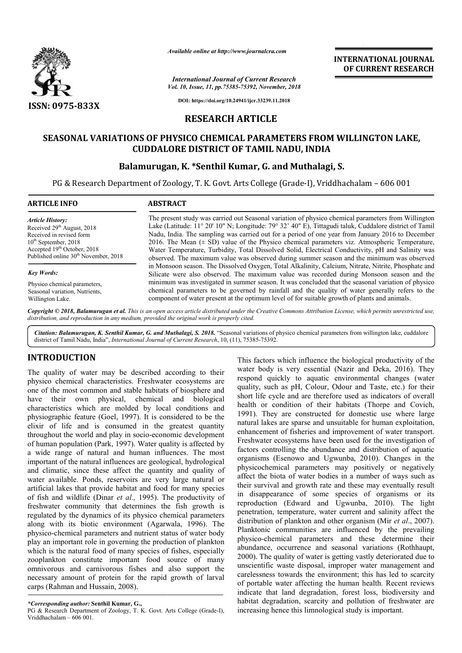

*Available online at http://www.journalcra.com*

*International Journal of Current Research Vol. 10, Issue, 11, pp.75385-75392, November, 2018* **INTERNATIONAL JOURNAL OF CURRENT RESEARCH**

**DOI: https://doi.org/10.24941/ijcr.33239.11.2018**

## **RESEARCH ARTICLE**

# SEASONAL VARIATIONS OF PHYSICO CHEMICAL PARAMETERS FROM WILLINGTON LAKE, **CUDDALORE DISTRICT OF TAMIL NADU, INDIA**

# Balamurugan, K. \*Senthil Kumar, G. and Muthalagi, S.

PG & Research Department of Zoology, T. K. Govt. Arts College (Grade-I), Vriddhachalam - 606 001

| <b>ARTICLE INFO</b>                              | <b>ABSTRACT</b>                                                                                                                                                                                  |
|--------------------------------------------------|--------------------------------------------------------------------------------------------------------------------------------------------------------------------------------------------------|
| <b>Article History:</b>                          | The present study was carried out Seasonal variation of physico chemical parameters from Willington                                                                                              |
| Received 29 <sup>th</sup> August, 2018           | Lake (Latitude: 11° 20' 10" N; Longitude: 79° 32' 40" E), Tittagudi taluk, Cuddalore district of Tamil                                                                                           |
| Received in revised form                         | Nadu, India. The sampling was carried out for a period of one year from January 2016 to December                                                                                                 |
| $10th$ September, 2018                           | 2016. The Mean $(\pm$ SD) value of the Physico chemical parameters viz. Atmospheric Temperature,                                                                                                 |
| Accepted 19 <sup>th</sup> October, 2018          | Water Temperature, Turbidity, Total Dissolved Solid, Electrical Conductivity, pH and Salinity was                                                                                                |
| Published online 30 <sup>th</sup> November, 2018 | observed. The maximum value was observed during summer season and the minimum was observed                                                                                                       |
| <b>Key Words:</b>                                | in Monsoon season. The Dissolved Oxygen, Total Alkalinity, Calcium, Nitrate, Nitrite, Phosphate and<br>Silicate were also observed. The maximum value was recorded during Monsoon season and the |
| Physico chemical parameters,                     | minimum was investigated in summer season. It was concluded that the seasonal variation of physico                                                                                               |
| Seasonal variation, Nutrients,                   | chemical parameters to be governed by rainfall and the quality of water generally refers to the                                                                                                  |
| Willington Lake.                                 | component of water present at the optimum level of for suitable growth of plants and animals.                                                                                                    |
|                                                  | <b>Convight</b> © 2018, Ralamury and at al. This is an open access article distributed under the Creative Commons Attribution License, which permits unrestricted use.                           |

Copyright © 2018, Balamurugan et al. This is an open access article distributed under the Creative Commons Attribution License, which permits unrestricted use, *distribution, and reproduction in any medium, provided the original work is properly cited.*

Citation: Balamurugan, K. Senthil Kumar, G. and Muthalagi, S. 2018. "Seasonal variations of physico chemical parameters from willington lake, cuddalore district of Tamil Nadu, India", *International Journal of Current Research*, 10, (11), 75385-75392.

# **INTRODUCTION**

The quality of water may be described according to their physico chemical characteristics. Freshwater ecosystems are one of the most common and stable habitats of biosphere and have their own physical, chemical and biological characteristics which are molded by local conditions and physiographic feature (Goel, 1997). It is considered to be the elixir of life and is consumed in the greatest quantity throughout the world and play in socio-economic development of human population (Park, 1997). Water quality is affected by a wide range of natural and human influences. The most important of the natural influences are geological, hydrological and climatic, since these affect the quantity and quality of water available. Ponds, reservoirs are very large natural or artificial lakes that provide habitat and food for many species of fish and wildlife (Dinar *et al.,* 1995). The productivity of freshwater community that determines the fish growth is regulated by the dynamics of its physico chemical parameters along with its biotic environment (Agarwala, 1996). The physico-chemical parameters and nutrient status of water body play an important role in governing the production of plankton which is the natural food of many species of fishes, especially zooplankton constitute important food source of many omnivorous and carnivorous fishes and also support the necessary amount of protein for the rapid growth of larval carps (Rahman and Hussain, 2008). ed by local co<br>
in the great<br>
socio-economic<br>
economic rtificial lakes that provide habitat and food for many species<br>f fish and wildlife (Dinar *et al.*, 1995). The productivity of<br>reshwater community that determines the fish growth is<br>egulated by the dynamics of its physico

PG & Research Department of Zoology, T. K. Govt. Arts College (Grade-I), Vriddhachalam – 606 001.

This factors which influence the biological productivity of the This factors which influence the biological productivity of the water body is very essential (Nazir and Deka, 2016). They respond quickly to aquatic environmental changes (water quality, such as pH, Colour, Odour and Taste, etc.) for their short life cycle and are therefore used as indicators of overall health or condition of their habitats (Thorpe and Covich, 1991). They are constructed for domestic use where large natural lakes are sparse and unsuitable for human exploitation, enhancement of fisheries and improvement of water transport. Freshwater ecosystems have been used for the investigation of factors controlling the abundance and distribution of aquatic organisms (Esenowo and Ugwunba, 2010). Changes in the physicochemical parameters may positively or negatively affect the biota of water bodies in a number of ways such as their survival and growth rate and these may eventually result in disappearance of some species of organisms or reproduction (Edward and Ugwunba, 2010). The light penetration, temperature, water current and salinity affect the penetration, temperature, water current and salinity affect the distribution of plankton and other organism (Mir *et al.*, 2007). Planktonic communities are influenced by the prevailing physico-chemical parameters and these determine their abundance, occurrence and seasonal variations (Rothhaupt, 2000). The quality of water is getting vastly deteriorated due to unscientific waste disposal, improper water management and carelessness towards the environment; this has led to scarcity of portable water affecting the human health. Recent reviews indicate that land degradation, forest loss, biodiversity and habitat degradation, scarcity and pollution of freshwater are increasing hence this limnological study is important. respond quickly to aquatic environmental changes (water quality, such as pH, Colour, Odour and Taste, etc.) for their short life cycle and are therefore used as indicators of overall health or condition of their habitats ( cochemical parameters may positively or negatively<br>t the biota of water bodies in a number of ways such as<br>survival and growth rate and these may eventually result<br>isappearance of some species of organisms or its Planktonic communities are influenced by the prevailing physico-chemical parameters and these determine their abundance, occurrence and seasonal variations (Rothhaupt, 2000). The quality of water is getting vastly deterior of portable water affecting the human health. Recent revised indicate that land degradation, forest loss, biodiversity habitat degradation, scarcity and pollution of freshwater increasing hence this limnological study is i

*<sup>\*</sup>Corresponding author:* **Senthil Kumar, G.,**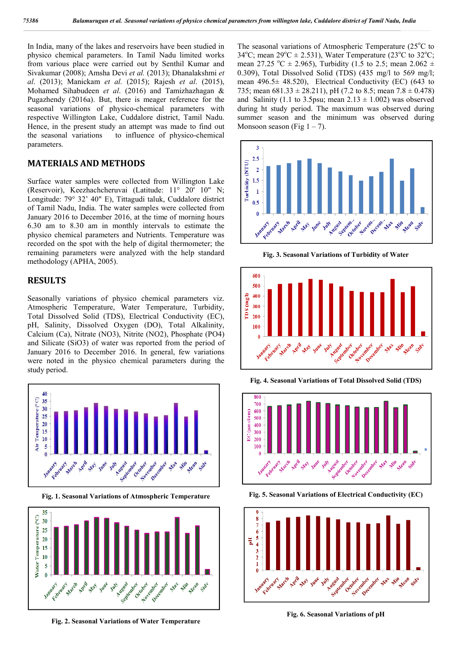In India, many of the lakes and reservoirs have been studied in physico chemical parameters. In Tamil Nadu limited works from various place were carried out by Senthil Kumar and Sivakumar (2008); Amsha Devi *et al.* (2013); Dhanalakshmi *et al*. (2013); Manickam *et al.* (2015); Rajesh *et al*. (2015), Mohamed Sihabudeen *et al*. (2016) and Tamizhazhagan & Pugazhendy (2016a). But, there is meager reference for the seasonal variations of physico-chemical parameters with respective Willington Lake, Cuddalore district, Tamil Nadu. Hence, in the present study an attempt was made to find out the seasonal variations to influence of physico-chemical parameters.

## **MATERIALS AND METHODS**

Surface water samples were collected from Willington Lake (Reservoir), Keezhachcheruvai (Latitude: 11° 20' 10" N; Longitude: 79° 32' 40" E), Tittagudi taluk, Cuddalore district of Tamil Nadu, India. The water samples were collected from January 2016 to December 2016, at the time of morning hours 6.30 am to 8.30 am in monthly intervals to estimate the physico chemical parameters and Nutrients. Temperature was recorded on the spot with the help of digital thermometer; the remaining parameters were analyzed with the help standard methodology (APHA, 2005).

## **RESULTS**

Seasonally variations of physico chemical parameters viz. Atmospheric Temperature, Water Temperature, Turbidity, Total Dissolved Solid (TDS), Electrical Conductivity (EC), pH, Salinity, Dissolved Oxygen (DO), Total Alkalinity, Calcium (Ca), Nitrate (NO3), Nitrite (NO2), Phosphate (PO4) and Silicate (SiO3) of water was reported from the period of January 2016 to December 2016. In general, few variations were noted in the physico chemical parameters during the study period.



**Fig. 1. Seasonal Variations of Atmospheric Temperature**



**Fig. 2. Seasonal Variations of Water Temperature**

The seasonal variations of Atmospheric Temperature (25°C to 34°C; mean 29°C  $\pm$  2.531), Water Temperature (23°C to 32°C; mean 27.25 °C  $\pm$  2.965), Turbidity (1.5 to 2.5; mean 2.062  $\pm$ 0.309), Total Dissolved Solid (TDS) (435 mg/l to 569 mg/l; mean 496.5± 48.520), Electrical Conductivity (EC) (643 to 735; mean  $681.33 \pm 28.211$ , pH (7.2 to 8.5; mean  $7.8 \pm 0.478$ ) and Salinity (1.1 to 3.5psu; mean  $2.13 \pm 1.002$ ) was observed during ht study period. The maximum was observed during summer season and the minimum was observed during Monsoon season (Fig  $1 - 7$ ).



**Fig. 3. Seasonal Variations of Turbidity of Water**



**Fig. 4. Seasonal Variations of Total Dissolved Solid (TDS)**



**Fig. 5. Seasonal Variations of Electrical Conductivity (EC)**



**Fig. 6. Seasonal Variations of pH**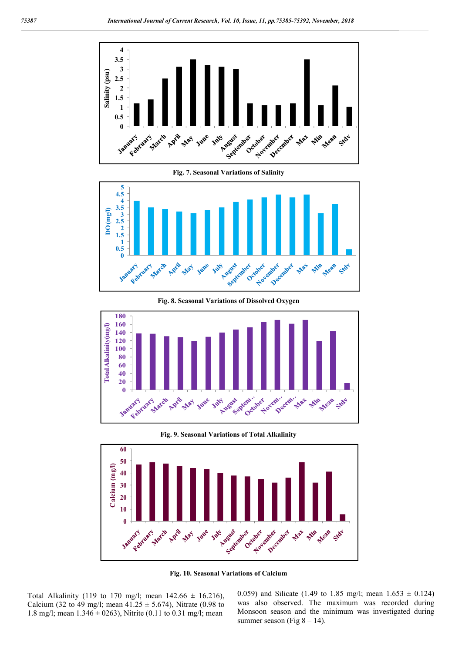



**Fig. 8. Seasonal Variations of Dissolved Oxygen**



**Fig. 9. Seasonal Variations of Total Alkalinity**



**Fig. 10. Seasonal Variations of Calcium**

Total Alkalinity (119 to 170 mg/l; mean  $142.66 \pm 16.216$ ), Calcium (32 to 49 mg/l; mean  $41.25 \pm 5.674$ ), Nitrate (0.98 to 1.8 mg/l; mean  $1.346 \pm 0263$ ), Nitrite (0.11 to 0.31 mg/l; mean

0.059) and Silicate (1.49 to 1.85 mg/l; mean  $1.653 \pm 0.124$ ) was also observed. The maximum was recorded during Monsoon season and the minimum was investigated during summer season (Fig  $8 - 14$ ).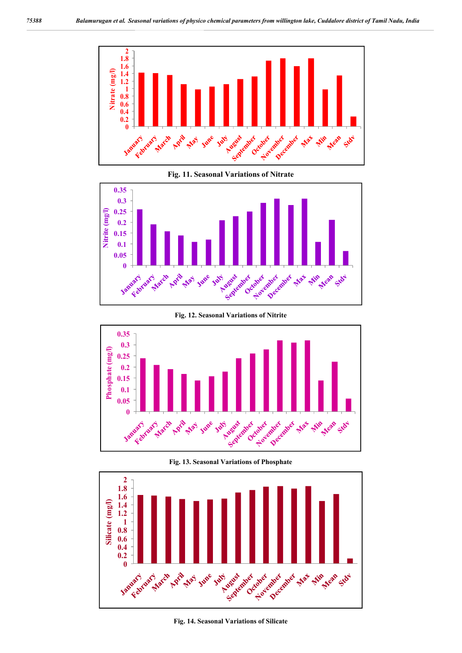

**Fig. 11. Seasonal Variations of Nitrate**



#### **Fig. 12. Seasonal Variations of Nitrite**



**Fig. 13. Seasonal Variations of Phosphate**



**Fig. 14. Seasonal Variations of Silicate**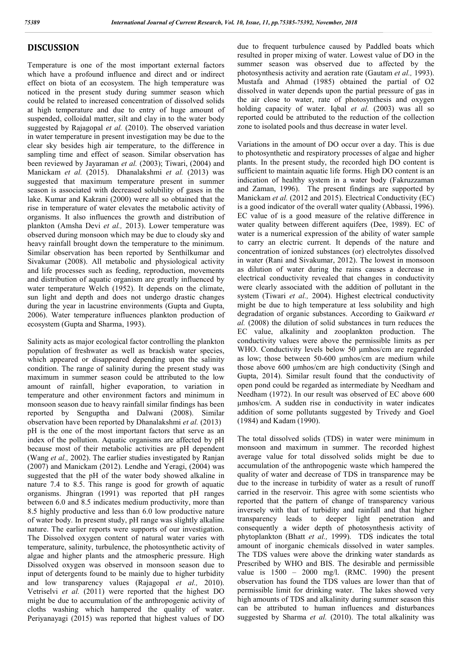## **DISCUSSION**

Temperature is one of the most important external factors which have a profound influence and direct and or indirect effect on biota of an ecosystem. The high temperature was noticed in the present study during summer season which could be related to increased concentration of dissolved solids at high temperature and due to entry of huge amount of suspended, colloidal matter, silt and clay in to the water body suggested by Rajagopal *et al.* (2010). The observed variation in water temperature in present investigation may be due to the clear sky besides high air temperature, to the difference in sampling time and effect of season. Similar observation has been reviewed by Jayaraman *et al.* (2003); Tiwari, (2004) and Manickam *et al.* (2015). Dhanalakshmi *et al.* (2013) was suggested that maximum temperature present in summer season is associated with decreased solubility of gases in the lake. Kumar and Kakrani (2000) were all so obtained that the rise in temperature of water elevates the metabolic activity of organisms. It also influences the growth and distribution of plankton (Amsha Devi *et al.,* 2013). Lower temperature was observed during monsoon which may be due to cloudy sky and heavy rainfall brought down the temperature to the minimum. Similar observation has been reported by Senthilkumar and Sivakumar (2008). All metabolic and physiological activity and life processes such as feeding, reproduction, movements and distribution of aquatic organism are greatly influenced by water temperature Welch (1952). It depends on the climate, sun light and depth and does not undergo drastic changes during the year in lacustrine environments (Gupta and Gupta, 2006). Water temperature influences plankton production of ecosystem (Gupta and Sharma, 1993).

Salinity acts as major ecological factor controlling the plankton population of freshwater as well as brackish water species, which appeared or disappeared depending upon the salinity condition. The range of salinity during the present study was maximum in summer season could be attributed to the low amount of rainfall, higher evaporation, to variation in temperature and other environment factors and minimum in monsoon season due to heavy rainfall similar findings has been reported by Senguptha and Dalwani (2008). Similar observation have been reported by Dhanalakshmi *et al.* (2013) pH is the one of the most important factors that serve as an index of the pollution. Aquatic organisms are affected by pH because most of their metabolic activities are pH dependent (Wang *et al.,* 2002). The earlier studies investigated by Ranjan (2007) and Manickam (2012). Lendhe and Yeragi, (2004) was suggested that the pH of the water body showed alkaline in nature 7.4 to 8.5. This range is good for growth of aquatic organisms. Jhingran (1991) was reported that pH ranges between 6.0 and 8.5 indicates medium productivity, more than 8.5 highly productive and less than 6.0 low productive nature of water body. In present study, pH range was slightly alkaline nature. The earlier reports were supports of our investigation. The Dissolved oxygen content of natural water varies with temperature, salinity, turbulence, the photosynthetic activity of algae and higher plants and the atmospheric pressure. High Dissolved oxygen was observed in monsoon season due to input of detergents found to be mainly due to higher turbidity and low transparency values (Rajagopal *et al.,* 2010). Vetriselvi *et al.* (2011) were reported that the highest DO might be due to accumulation of the anthropogenic activity of cloths washing which hampered the quality of water. Periyanayagi (2015) was reported that highest values of DO

due to frequent turbulence caused by Paddled boats which resulted in proper mixing of water. Lowest value of DO in the summer season was observed due to affected by the photosynthesis activity and aeration rate (Gautam *et al.,* 1993). Mustafa and Ahmad (1985) obtained the partial of O2 dissolved in water depends upon the partial pressure of gas in the air close to water, rate of photosynthesis and oxygen holding capacity of water. Igbal *et al.* (2003) was all so reported could be attributed to the reduction of the collection zone to isolated pools and thus decrease in water level.

Variations in the amount of DO occur over a day. This is due to photosynthetic and respiratory processes of algae and higher plants. In the present study, the recorded high DO content is sufficient to maintain aquatic life forms. High DO content is an indication of healthy system in a water body (Fakruzzaman and Zaman, 1996). The present findings are supported by Manickam *et al.* (2012 and 2015). Electrical Conductivity (EC) is a good indicator of the overall water quality (Abbassi, 1996). EC value of is a good measure of the relative difference in water quality between different aquifers (Dee, 1989). EC of water is a numerical expression of the ability of water sample to carry an electric current. It depends of the nature and concentration of ionized substances (or) electrolytes dissolved in water (Rani and Sivakumar, 2012). The lowest in monsoon as dilution of water during the rains causes a decrease in electrical conductivity revealed that changes in conductivity were clearly associated with the addition of pollutant in the system (Tiwari *et al.,* 2004). Highest electrical conductivity might be due to high temperature at less solubility and high degradation of organic substances. According to Gaikward *et al.* (2008) the dilution of solid substances in turn reduces the EC value, alkalinity and zooplankton production. The conductivity values were above the permissible limits as per WHO. Conductivity levels below 50 μmhos/cm are regarded as low; those between 50-600 μmhos/cm are medium while those above 600 μmhos/cm are high conductivity (Singh and Gupta, 2014). Similar result found that the conductivity of open pond could be regarded as intermediate by Needham and Needham (1972). In our result was observed of EC above 600 μmhos/cm. A sudden rise in conductivity in water indicates addition of some pollutants suggested by Trivedy and Goel (1984) and Kadam (1990).

The total dissolved solids (TDS) in water were minimum in monsoon and maximum in summer. The recorded highest average value for total dissolved solids might be due to accumulation of the anthropogenic waste which hampered the quality of water and decrease of TDS in transparence may be due to the increase in turbidity of water as a result of runoff carried in the reservoir. This agree with some scientists who reported that the pattern of change of transparency various inversely with that of turbidity and rainfall and that higher transparency leads to deeper light penetration and consequently a wider depth of photosynthesis activity of phytoplankton (Bhatt *et al.,* 1999). TDS indicates the total amount of inorganic chemicals dissolved in water samples. The TDS values were above the drinking water standards as Prescribed by WHO and BIS. The desirable and permissible value is 1500 – 2000 mg/l. (RMC. 1990) the present observation has found the TDS values are lower than that of permissible limit for drinking water. The lakes showed very high amounts of TDS and alkalinity during summer season this can be attributed to human influences and disturbances suggested by Sharma *et al.* (2010). The total alkalinity was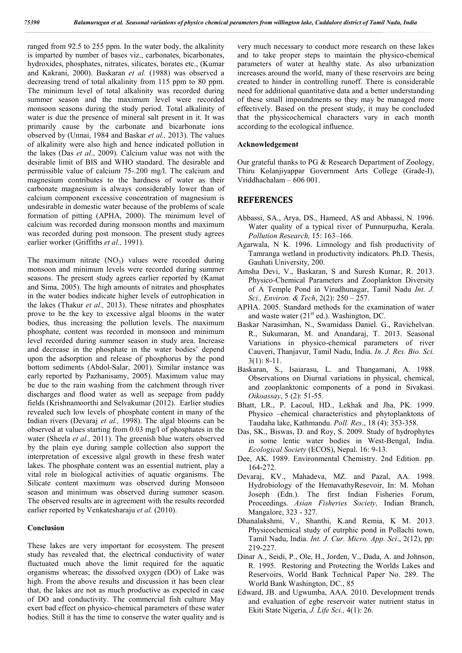ranged from 92.5 to 255 ppm. In the water body, the alkalinity is imparted by number of bases viz., carbonates, bicarbonates, hydroxides, phosphates, nitrates, silicates, borates etc., (Kumar and Kakrani, 2000). Baskaran *et al.* (1988) was observed a decreasing trend of total alkalinity from 115 ppm to 80 ppm. The minimum level of total alkalinity was recorded during summer season and the maximum level were recorded monsoon seasons during the study period. Total alkalinity of water is due the presence of mineral salt present in it. It was primarily cause by the carbonate and bicarbonate ions observed by (Unnai, 1984 and Baskar *et al.,* 2013). The values of alkalinity were also high and hence indicated pollution in the lakes (Das *et al*., 2009). Calcium value was not with the desirable limit of BIS and WHO standard. The desirable and permissible value of calcium 75-.200 mg/l. The calcium and magnesium contributes to the hardness of water as their carbonate magnesium is always considerably lower than of calcium component excessive concentration of magnesium is undesirable in domestic water because of the problems of scale formation of pitting (APHA, 2000). The minimum level of calcium was recorded during monsoon months and maximum was recorded during post monsoon. The present study agrees earlier worker (Griffiths *et al.,* 1991).

The maximum nitrate  $(NO_3)$  values were recorded during monsoon and minimum levels were recorded during summer seasons. The present study agrees earlier reported by (Kamat and Sima, 2005). The high amounts of nitrates and phosphates in the water bodies indicate higher levels of eutrophication in the lakes (Thakur *et al.,* 2013). These nitrates and phosphates prove to be the key to excessive algal blooms in the water bodies, thus increasing the pollution levels. The maximum phosphate, content was recorded in monsoon and minimum level recorded during summer season in study area. Increase and decrease in the phosphate in the water bodies' depend upon the adsorption and release of phosphorus by the pond bottom sediments (Abdol-Salar, 2001). Similar instance was early reported by Pazhanisamy, 2005). Maximum value may be due to the rain washing from the catchment through river discharges and flood water as well as seepage from paddy fields (Krishnamoorthi and Selvakumar (2012). Earlier studies revealed such low levels of phosphate content in many of the Indian rivers (Devaraj *et al.,* 1998). The algal blooms can be observed at values starting from 0.03 mg/l of phosphates in the water (Sheela *et al.,* 2011). The greenish blue waters observed by the plain eye during sample collection also support the interpretation of excessive algal growth in these fresh water lakes. The phosphate content was an essential nutrient, play a vital role in biological activities of aquatic organisms. The Silicate content maximum was observed during Monsoon season and minimum was observed during summer season. The observed results are in agreement with the results recorded earlier reported by Venkatesharaju *et al.* (2010).

#### **Conclusion**

These lakes are very important for ecosystem. The present study has revealed that, the electrical conductivity of water fluctuated much above the limit required for the aquatic organisms whereas; the dissolved oxygen (DO) of Lake was high. From the above results and discussion it has been clear that, the lakes are not as much productive as expected in case of DO and conductivity. The commercial fish culture May exert bad effect on physico-chemical parameters of these water bodies. Still it has the time to conserve the water quality and is

very much necessary to conduct more research on these lakes and to take proper steps to maintain the physico-chemical parameters of water at healthy state. As also urbanization increases around the world, many of these reservoirs are being created to hinder in controlling runoff. There is considerable need for additional quantitative data and a better understanding of these small impoundments so they may be managed more effectively. Based on the present study, it may be concluded that the physicochemical characters vary in each month according to the ecological influence.

#### **Acknowledgement**

Our grateful thanks to PG & Research Department of Zoology, Thiru Kolanjiyappar Government Arts College (Grade-I), Vriddhachalam – 606 001.

### **REFERENCES**

- Abbassi, SA., Arya, DS., Hameed, AS and Abbassi, N. 1996. Water quality of a typical river of Punnurpuzha, Kerala. *Pollution Research,* 15: 163–166.
- Agarwala, N K. 1996. Limnology and fish productivity of Tamranga wetland in productivity indicators. Ph.D. Thesis, Gauhati University, 200.
- Amsha Devi, V., Baskaran, S and Suresh Kumar, R. 2013. Physico-Chemical Parameters and Zooplankton Diversity of A Temple Pond in Virudhunagar, Tamil Nadu *Int. J. Sci., Environ. & Tech*, 2(2): 250 – 257.
- APHA. 2005. Standard methods for the examination of water and waste water  $(21<sup>st</sup>$  ed.). Washington, DC.
- Baskar Narasimhan, N., Swamidass Daniel. G., Ravichelvan. R., Sukumaran, M. and Anandaraj, T. 2013. Seasonal Variations in physico-chemical parameters of river Cauveri, Thanjavur, Tamil Nadu, India. *In. J. Res. Bio. Sci.* 3(1): 8-11.
- Baskaran, S., Isaiarasu, L. and Thangamani, A. 1988. Observations on Diurnal variations in physical, chemical, and zooplanktonic components of a pond in Sivakasi. *Oikoassay*, 5 (2): 51-55.
- Bhatt, LR., P. Lacoul, HD., Lekhak and Jha, PK. 1999. Physico –chemical characteristics and phytoplanktons of Taudaha lake, Kathmandu. *Poll. Res*., 18 (4): 353-358.
- Das, SK., Biswas, D. and Roy, S. 2009. Study of hydrophytes in some lentic water bodies in West-Bengal, India. *Ecological Society* (ECOS), Nepal. 16: 9-13.
- Dee, AK. 1989. Environmental Chemistry. 2nd Edition. pp. 164-272.
- Devaraj, KV., Mahadeva, MZ. and Pazal, AA. 1998. Hydrobiology of the HemavathyResevoir, In: M. Mohan Joseph (Edn.). The first Indian Fisheries Forum, Proceedings. *Asian Fisheries Society,* Indian Branch, Mangalore, 323 - 327.
- Dhanalakshmi, V., Shanthi, K.and Remia, K M. 2013. Physicochemical study of eutrphic pond in Pollachi town, Tamil Nadu, India. *Int. J. Cur. Micro. App. Sci*., 2(12), pp: 219-227.
- Dinar A., Seidi, P., Ole, H., Jorden, V., Dada, A. and Johnson, R. 1995. Restoring and Protecting the Worlds Lakes and Reservoirs, World Bank Technical Paper No. 289. The World Bank Washington, DC., 85
- Edward, JB. and Ugwumba, AAA. 2010. Development trends and evaluation of egbe reservoir water nutrient status in Ekiti State Nigeria, *J. Life Sci.,* 4(1): 26.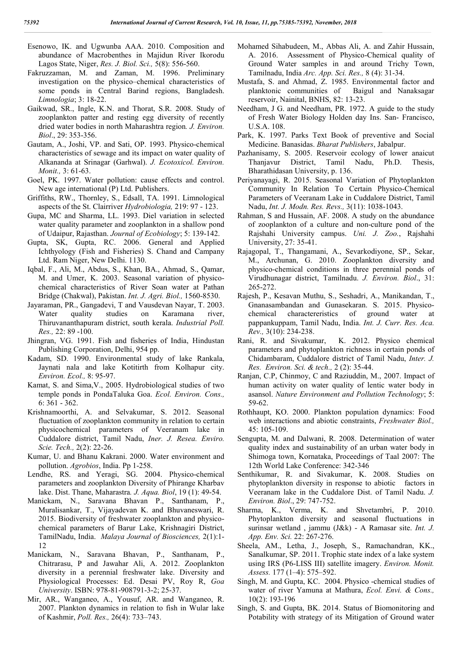- Esenowo, IK. and Ugwunba AAA. 2010. Composition and abundance of Macrobenthes in Majidun River Ikorodu Lagos State, Niger, *Res. J. Biol. Sci.,* 5(8): 556-560.
- Fakruzzaman, M. and Zaman, M. 1996. Preliminary investigation on the physico–chemical characteristics of some ponds in Central Barind regions, Bangladesh. *Limnologia*; 3: 18-22.
- Gaikwad, SR., Ingle, K.N. and Thorat, S.R. 2008. Study of zooplankton patter and resting egg diversity of recently dried water bodies in north Maharashtra region*. J. Environ. Biol*., 29: 353-356.
- Gautam, A., Joshi, VP. and Sati, OP. 1993. Physico-chemical characteristics of sewage and its impact on water quality of Alkananda at Srinagar (Garhwal). *J. Ecotoxicol. Environ. Monit.,* 3: 61-63.
- Goel, PK. 1997. Water pollution: cause effects and control. New age international (P) Ltd. Publishers.
- Griffiths, RW., Thornley, S., Edsall, TA. 1991. Limnological aspects of the St. Clairriver *Hydrobiologia,* 219: 97 - 123.
- Gupa, MC and Sharma, LL. 1993. Diel variation in selected water quality parameter and zooplankton in a shallow pond of Udaipur, Rajasthan. *Journal of Ecobiology*; 5: 139-142.
- Gupta, SK, Gupta, RC. 2006. General and Applied Ichthyology (Fish and Fisheries) S. Chand and Campany Ltd. Ram Niger, New Delhi. 1130.
- Iqbal, F., Ali, M., Abdus, S., Khan, BA., Ahmad, S., Qamar, M. and Umer, K. 2003. Seasonal variation of physicochemical characteristics of River Soan water at Pathan Bridge (Chakwal), Pakistan. *Int. J. Agri. Biol.,* 1560-8530.
- Jayaraman, PR., Gangadevi, T and Vausdevan Nayar, T. 2003. Water quality studies on Karamana river, Thiruvananthapuram district, south kerala. *Industrial Poll. Res.,* 22: 89 -100.
- Jhingran, VG. 1991. Fish and fisheries of India, Hindustan Publishing Corporation, Delhi, 954 pp.
- Kadam, SD. 1990. Environmental study of lake Rankala, Jaynati nala and lake Kotitirth from Kolhapur city. *Environ. Ecol.,* 8: 95-97.
- Kamat, S. and Sima,V., 2005. Hydrobiological studies of two temple ponds in PondaTaluka Goa. *Ecol. Environ. Cons.,*  6: 361 - 362.
- Krishnamoorthi, A. and Selvakumar, S. 2012. Seasonal fluctuation of zooplankton community in relation to certain physicochemical parameters of Veeranam lake in Cuddalore district, Tamil Nadu, *Iner. J. Resea. Enviro. Scie. Tech.,* 2(2): 22-26.
- Kumar, U. and Bhanu Kakrani. 2000. Water environment and pollution. *Agrobios*, India. Pp 1-258.
- Lendhe, RS. and Yeragi, SG. 2004. Physico-chemical parameters and zooplankton Diversity of Phirange Kharbav lake. Dist. Thane, Maharastra*. J. Aqua. Biol*, 19 (1): 49-54.
- Manickam, N., Saravana Bhavan P., Santhanam, P., Muralisankar, T., Vijayadevan K. and Bhuvaneswari, R. 2015. Biodiversity of freshwater zooplankton and physicochemical parameters of Barur Lake, Krishnagiri District, TamilNadu, India. *Malaya Journal of Biosciences,* 2(1):1- 12
- Manickam, N., Saravana Bhavan, P., Santhanam, P., Chitrarasu, P and Jawahar Ali, A. 2012. Zooplankton diversity in a perennial freshwater lake. Diversity and Physiological Processes: Ed. Desai PV, Roy R, *Goa University*. ISBN: 978-81-908791-3-2; 25-37.
- Mir, AR., Wanganeo, A., Yousuf, AR. and Wanganeo, R. 2007. Plankton dynamics in relation to fish in Wular lake of Kashmir, *Poll. Res.,* 26(4): 733–743.
- Mohamed Sihabudeen, M., Abbas Ali, A. and Zahir Hussain, A. 2016. Assessment of Physico-Chemical quality of Ground Water samples in and around Trichy Town, Tamilnadu, India *Arc. App. Sci. Res.,* 8 (4): 31-34.
- Mustafa, S. and Ahmad, Z. 1985. Environmental factor and planktonic communities of Baigul and Nanaksagar reservoir, Nainital, BNHS, 82: 13-23.
- Needham, J G. and Needham, PR. 1972. A guide to the study of Fresh Water Biology Holden day Ins. San- Francisco, U.S.A. 108.
- Park, K. 1997. Parks Text Book of preventive and Social Medicine. Banasidas. *Bharat Publishers*, Jabalpur.
- Pazhanisamy, S. 2005. Reservoir ecology of lower anaicut Thanjavur District, Tamil Nadu, Ph.D. Thesis, Bharathidasan University, p. 136.
- Periyanayagi, R. 2015. Seasonal Variation of Phytoplankton Community In Relation To Certain Physico-Chemical Parameters of Veeranam Lake in Cuddalore District, Tamil Nadu, *Int. J. Modn. Res. Revs.,* 3(11): 1038-1043.
- Rahman, S and Hussain, AF. 2008. A study on the abundance of zooplankton of a culture and non-culture pond of the Rajshahi University campus. *Uni. J. Zoo.*, Rajshahi University, 27: 35-41.
- Rajagopal, T., Thangamani, A., Sevarkodiyone, SP., Sekar, M., Archunan, G. 2010. Zooplankton diversity and physico-chemical conditions in three perennial ponds of Virudhunagar district, Tamilnadu. *J. Environ. Biol*., 31: 265-272.
- Rajesh, P., Kesavan Muthu, S., Seshadri, A., Manikandan, T., Gnanasambandan and Gunasekaran. S. 2015. Physicochemical charactereristics of ground water at pappankuppam, Tamil Nadu, India. *Int. J. Curr. Res. Aca. Rev.,* 3(10): 234-238.
- Rani, R. and Sivakumar, K. 2012. Physico chemical parameters and phytoplankton richness in certain ponds of Chidambaram, Cuddalore district of Tamil Nadu, *Inter. J. Res. Environ. Sci. & tech.,* 2 (2): 35-44.
- Ranjan, C.P, Chinmoy, C and Raziuddin, M., 2007. Impact of human activity on water quality of lentic water body in asansol. *Nature Environment and Pollution Technology*; 5: 59-62.
- Rothhaupt, KO. 2000. Plankton population dynamics: Food web interactions and abiotic constraints, *Freshwater Biol.,*  45: 105-109.
- Sengupta, M. and Dalwani, R. 2008. Determination of water quality index and sustainability of an urban water body in Shimoga town, Kornataka, Proceedings of Taal 2007: The 12th World Lake Conference: 342-346
- Senthikumar, R. and Sivakumar, K. 2008. Studies on phytoplankton diversity in response to abiotic factors in Veeranam lake in the Cuddalore Dist. of Tamil Nadu. *J. Environ. Biol*., 29: 747-752.
- Sharma, K., Verma, K. and Shvetambri, P. 2010. Phytoplankton diversity and seasonal fluctuations in surinsar wetland , jammu (J&k) - A Ramasar site. *Int. J. App. Env. Sci.* 22: 267-276.
- Sheela, AM., Letha, J., Joseph, S., Ramachandran, KK., Sanalkumar, SP. 2011. Trophic state index of a lake system using IRS (P6-LISS III) satellite imagery. *Environ. Monit. Assess.* 177 (1–4): 575–592.
- Singh, M. and Gupta, KC. 2004. Physico -chemical studies of water of river Yamuna at Mathura, *Ecol. Envi. & Cons.,* 10(2): 193-196
- Singh, S. and Gupta, BK. 2014. Status of Biomonitoring and Potability with strategy of its Mitigation of Ground water